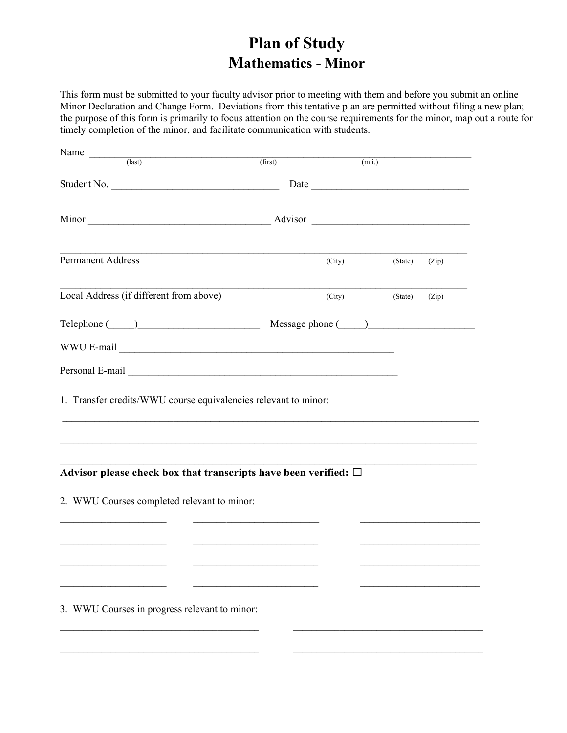## **Plan of Study Mathematics - Minor**

This form must be submitted to your faculty advisor prior to meeting with them and before you submit an online Minor Declaration and Change Form. Deviations from this tentative plan are permitted without filing a new plan; the purpose of this form is primarily to focus attention on the course requirements for the minor, map out a route for timely completion of the minor, and facilitate communication with students.

| Name $\frac{1}{\sqrt{1-\frac{1}{1-\frac{1}{1-\frac{1}{1-\frac{1}{1-\frac{1}{1-\frac{1}{1-\frac{1}{1-\frac{1}{1-\frac{1}{1-\frac{1}{1-\frac{1}{1-\frac{1}{1-\frac{1}{1-\frac{1}{1-\frac{1}{1-\frac{1}{1-\frac{1}{1-\frac{1}{1-\frac{1}{1-\frac{1}{1-\frac{1}{1-\frac{1}{1-\frac{1}{1-\frac{1}{1-\frac{1}{1-\frac{1}{1-\frac{1}{1-\frac{1}{1-\frac{1}{1-\frac{1}{1-\frac{1}{1-\frac{1}{1-\frac{1}{1-\frac{1}{1-\frac$ |                   |        |         |       |
|---------------------------------------------------------------------------------------------------------------------------------------------------------------------------------------------------------------------------------------------------------------------------------------------------------------------------------------------------------------------------------------------------------------------|-------------------|--------|---------|-------|
|                                                                                                                                                                                                                                                                                                                                                                                                                     | (first)           | (m.i.) |         |       |
|                                                                                                                                                                                                                                                                                                                                                                                                                     |                   |        |         |       |
|                                                                                                                                                                                                                                                                                                                                                                                                                     |                   |        |         |       |
| Permanent Address                                                                                                                                                                                                                                                                                                                                                                                                   | (City)            |        | (State) | (Zip) |
| Local Address (if different from above)                                                                                                                                                                                                                                                                                                                                                                             | (City)            |        | (State) | (Zip) |
|                                                                                                                                                                                                                                                                                                                                                                                                                     | Message phone ( ) |        |         |       |
|                                                                                                                                                                                                                                                                                                                                                                                                                     |                   |        |         |       |
|                                                                                                                                                                                                                                                                                                                                                                                                                     |                   |        |         |       |
| Advisor please check box that transcripts have been verified: $\Box$                                                                                                                                                                                                                                                                                                                                                |                   |        |         |       |
| 2. WWU Courses completed relevant to minor:                                                                                                                                                                                                                                                                                                                                                                         |                   |        |         |       |
|                                                                                                                                                                                                                                                                                                                                                                                                                     |                   |        |         |       |
|                                                                                                                                                                                                                                                                                                                                                                                                                     |                   |        |         |       |
| 3. WWU Courses in progress relevant to minor:                                                                                                                                                                                                                                                                                                                                                                       |                   |        |         |       |
|                                                                                                                                                                                                                                                                                                                                                                                                                     |                   |        |         |       |
|                                                                                                                                                                                                                                                                                                                                                                                                                     |                   |        |         |       |